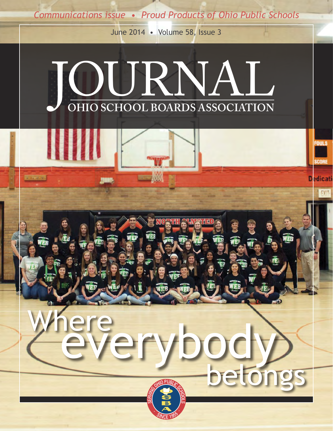*Communications issue • Proud Products of Ohio Public Schools*

June 2014 • Volume 58, Issue 3



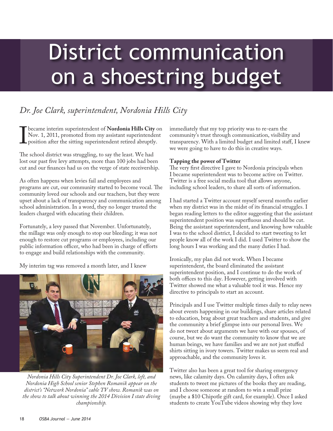# District communication on a shoestring budget

# *Dr. Joe Clark, superintendent, Nordonia Hills City*

**I became interim superintendent of Nordonia Hills City** on Nov. 1, 2011, promoted from my assistant superintendent position after the sitting superintendent retired abruptly. Nov. 1, 2011, promoted from my assistant superintendent position after the sitting superintendent retired abruptly.

The school district was struggling, to say the least. We had lost our past five levy attempts, more than 100 jobs had been cut and our finances had us on the verge of state receivership.

As often happens when levies fail and employees and programs are cut, our community started to become vocal. The community loved our schools and our teachers, but they were upset about a lack of transparency and communication among school administration. In a word, they no longer trusted the leaders charged with educating their children.

Fortunately, a levy passed that November. Unfortunately, the millage was only enough to stop our bleeding; it was not enough to restore cut programs or employees, including our public information officer, who had been in charge of efforts to engage and build relationships with the community.

My interim tag was removed a month later, and I knew



*Nordonia Hills City Superintendent Dr. Joe Clark, left, and Nordonia High School senior Stephen Romanik appear on the district's "Network Nordonia" cable TV show. Romanik was on the show to talk about winning the 2014 Division I state diving championship.*

immediately that my top priority was to re-earn the community's trust through communication, visibility and transparency. With a limited budget and limited staff, I knew we were going to have to do this in creative ways.

## **Tapping the power of Twitter**

The very first directive I gave to Nordonia principals when I became superintendent was to become active on Twitter. Twitter is a free social media tool that allows anyone, including school leaders, to share all sorts of information.

I had started a Twitter account myself several months earlier when my district was in the midst of its financial struggles. I began reading letters to the editor suggesting that the assistant superintendent position was superfluous and should be cut. Being the assistant superintendent, and knowing how valuable I was to the school district, I decided to start tweeting to let people know all of the work I did. I used Twitter to show the long hours I was working and the many duties I had.

Ironically, my plan did not work. When I became superintendent, the board eliminated the assistant superintendent position, and I continue to do the work of both offices to this day. However, getting involved with Twitter showed me what a valuable tool it was. Hence my directive to principals to start an account.

Principals and I use Twitter multiple times daily to relay news about events happening in our buildings, share articles related to education, brag about great teachers and students, and give the community a brief glimpse into our personal lives. We do not tweet about arguments we have with our spouses, of course, but we do want the community to know that we are human beings, we have families and we are not just stuffed shirts sitting in ivory towers. Twitter makes us seem real and approachable, and the community loves it.

Twitter also has been a great tool for sharing emergency news, like calamity days. On calamity days, I often ask students to tweet me pictures of the books they are reading, and I choose someone at random to win a small prize (maybe a \$10 Chipotle gift card, for example). Once I asked students to create YouTube videos showing why they love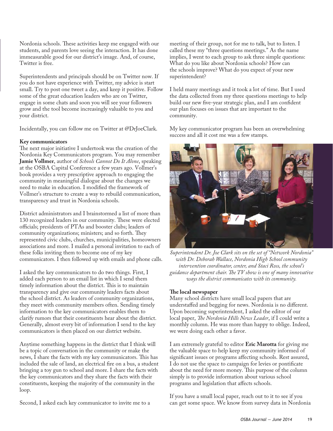Nordonia schools. These activities keep me engaged with our students, and parents love seeing the interaction. It has done immeasurable good for our district's image. And, of course, Twitter is free.

Superintendents and principals should be on Twitter now. If you do not have experience with Twitter, my advice is start small. Try to post one tweet a day, and keep it positive. Follow some of the great education leaders who are on Twitter, engage in some chats and soon you will see your followers grow and the tool become increasingly valuable to you and your district.

Incidentally, you can follow me on Twitter at @DrJoeClark.

#### **Key communicators**

The next major initiative I undertook was the creation of the Nordonia Key Communicators program. You may remember **Jamie Vollmer**, author of *Schools Cannot Do It Alone*, speaking at the OSBA Capital Conference a few years ago. Vollmer's book provides a very prescriptive approach to engaging the community in meaningful dialogue about the changes we need to make in education. I modified the framework of Vollmer's structure to create a way to rebuild communication, transparency and trust in Nordonia schools.

District administrators and I brainstormed a list of more than 130 recognized leaders in our community. These were elected officials; presidents of PTAs and booster clubs; leaders of community organizations; ministers; and so forth. They represented civic clubs, churches, municipalities, homeowners associations and more. I mailed a personal invitation to each of these folks inviting them to become one of my key communicators. I then followed up with emails and phone calls.

I asked the key communicators to do two things. First, I added each person to an email list in which I send them timely information about the district. This is to maintain transparency and give our community leaders facts about the school district. As leaders of community organizations, they meet with community members often. Sending timely information to the key communicators enables them to clarify rumors that their constituents hear about the district. Generally, almost every bit of information I send to the key communicators is then placed on our district website.

Anytime something happens in the district that I think will be a topic of conversation in the community or make the news, I share the facts with my key communicators. This has included the sale of land, an electrical fire on a bus, a student bringing a toy gun to school and more. I share the facts with the key communicators and they share the facts with their constituents, keeping the majority of the community in the loop.

Second, I asked each key communicator to invite me to a

meeting of their group, not for me to talk, but to listen. I called these my "three questions meetings." As the name implies, I went to each group to ask three simple questions: What do you like about Nordonia schools? How can the schools improve? What do you expect of your new superintendent?

I held many meetings and it took a lot of time. But I used the data collected from my three questions meetings to help build our new five-year strategic plan, and I am confident our plan focuses on issues that are important to the community.

My key communicator program has been an overwhelming success and all it cost me was a few stamps.



*Superintendent Dr. Joe Clark sits on the set of "Network Nordonia" with Dr. Deborah Wallace, Nordonia High School community intervention coordinator, center, and Staci Ross, the school's guidance department chair. The TV show is one of many innovative ways the district communicates with its community.*

### **The local newspaper**

Many school districts have small local papers that are understaffed and begging for news. Nordonia is no different. Upon becoming superintendent, I asked the editor of our local paper, *The Nordonia Hills News Leader*, if I could write a monthly column. He was more than happy to oblige. Indeed, we were doing each other a favor.

I am extremely grateful to editor **Eric Marotta** for giving me the valuable space to help keep my community informed of significant issues or programs affecting schools. Rest assured, I do not use the space to campaign for levies or pontificate about the need for more money. This purpose of the column simply is to provide information about various school programs and legislation that affects schools.

If you have a small local paper, reach out to it to see if you can get some space. We know from survey data in Nordonia